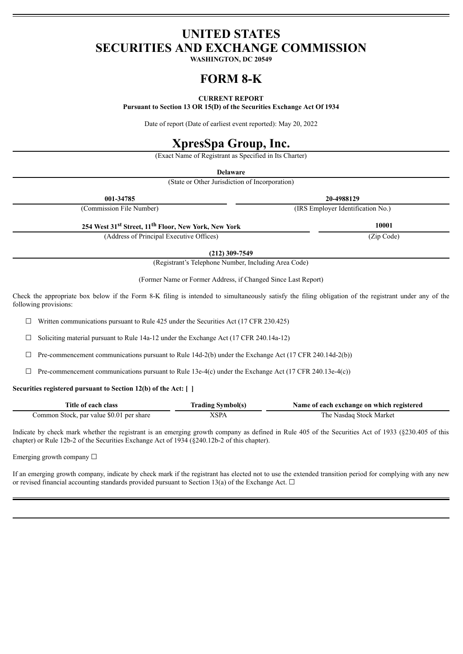# **UNITED STATES SECURITIES AND EXCHANGE COMMISSION**

**WASHINGTON, DC 20549**

# **FORM 8-K**

# **CURRENT REPORT**

**Pursuant to Section 13 OR 15(D) of the Securities Exchange Act Of 1934**

Date of report (Date of earliest event reported): May 20, 2022

# **XpresSpa Group, Inc.**

(Exact Name of Registrant as Specified in Its Charter)

**Delaware**

(State or Other Jurisdiction of Incorporation)

| 001-34785                                                                    | 20-4988129                        |
|------------------------------------------------------------------------------|-----------------------------------|
| (Commission File Number)                                                     | (IRS Employer Identification No.) |
| 254 West 31 <sup>st</sup> Street, 11 <sup>th</sup> Floor, New York, New York | 10001                             |
| (Address of Principal Executive Offices)                                     | (Zip Code)                        |

**(212) 309-7549**

(Registrant's Telephone Number, Including Area Code)

(Former Name or Former Address, if Changed Since Last Report)

Check the appropriate box below if the Form 8-K filing is intended to simultaneously satisfy the filing obligation of the registrant under any of the following provisions:

 $\Box$  Written communications pursuant to Rule 425 under the Securities Act (17 CFR 230.425)

 $\Box$  Soliciting material pursuant to Rule 14a-12 under the Exchange Act (17 CFR 240.14a-12)

 $\Box$  Pre-commencement communications pursuant to Rule 14d-2(b) under the Exchange Act (17 CFR 240.14d-2(b))

 $\Box$  Pre-commencement communications pursuant to Rule 13e-4(c) under the Exchange Act (17 CFR 240.13e-4(c))

## **Securities registered pursuant to Section 12(b) of the Act: [ ]**

| Title of each class                      | <b>Trading Symbol(s)</b> | Name of each exchange on which registered |
|------------------------------------------|--------------------------|-------------------------------------------|
| Common Stock, par value \$0.01 per share | XSPA                     | The Nasdaq Stock Market                   |

Indicate by check mark whether the registrant is an emerging growth company as defined in Rule 405 of the Securities Act of 1933 (§230.405 of this chapter) or Rule 12b-2 of the Securities Exchange Act of 1934 (§240.12b-2 of this chapter).

Emerging growth company  $\Box$ 

If an emerging growth company, indicate by check mark if the registrant has elected not to use the extended transition period for complying with any new or revised financial accounting standards provided pursuant to Section 13(a) of the Exchange Act.  $\Box$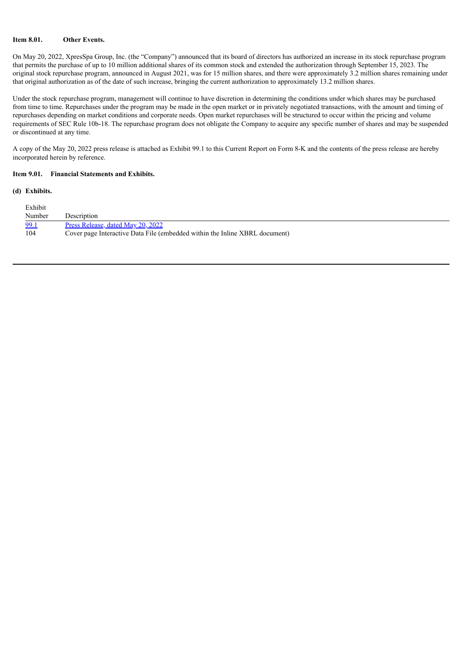# **Item 8.01. Other Events.**

On May 20, 2022, XpresSpa Group, Inc. (the "Company") announced that its board of directors has authorized an increase in its stock repurchase program that permits the purchase of up to 10 million additional shares of its common stock and extended the authorization through September 15, 2023. The original stock repurchase program, announced in August 2021, was for 15 million shares, and there were approximately 3.2 million shares remaining under that original authorization as of the date of such increase, bringing the current authorization to approximately 13.2 million shares.

Under the stock repurchase program, management will continue to have discretion in determining the conditions under which shares may be purchased from time to time. Repurchases under the program may be made in the open market or in privately negotiated transactions, with the amount and timing of repurchases depending on market conditions and corporate needs. Open market repurchases will be structured to occur within the pricing and volume requirements of SEC Rule 10b-18. The repurchase program does not obligate the Company to acquire any specific number of shares and may be suspended or discontinued at any time.

A copy of the May 20, 2022 press release is attached as Exhibit 99.1 to this Current Report on Form 8-K and the contents of the press release are hereby incorporated herein by reference.

#### **Item 9.01. Financial Statements and Exhibits.**

#### **(d) Exhibits.**

| Exhibit |                                                                             |
|---------|-----------------------------------------------------------------------------|
| Number  | Description                                                                 |
| 99.1    | Press Release, dated May 20, 2022                                           |
| 104     | Cover page Interactive Data File (embedded within the Inline XBRL document) |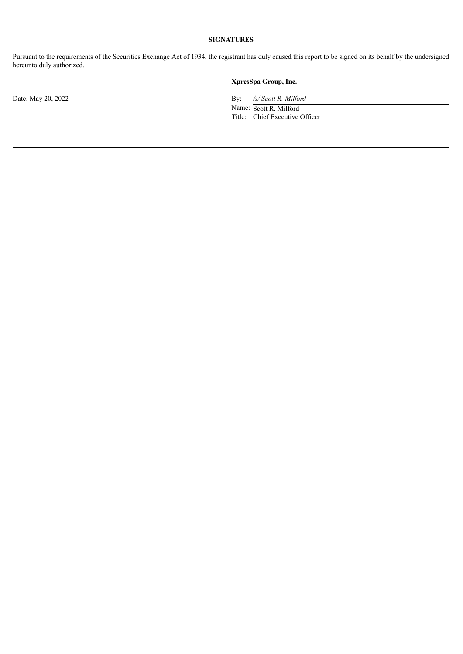# **SIGNATURES**

Pursuant to the requirements of the Securities Exchange Act of 1934, the registrant has duly caused this report to be signed on its behalf by the undersigned hereunto duly authorized.

# **XpresSpa Group, Inc.**

Date: May 20, 2022 By: */s/ Scott R. Milford*

Name: Scott R. Milford Title: Chief Executive Officer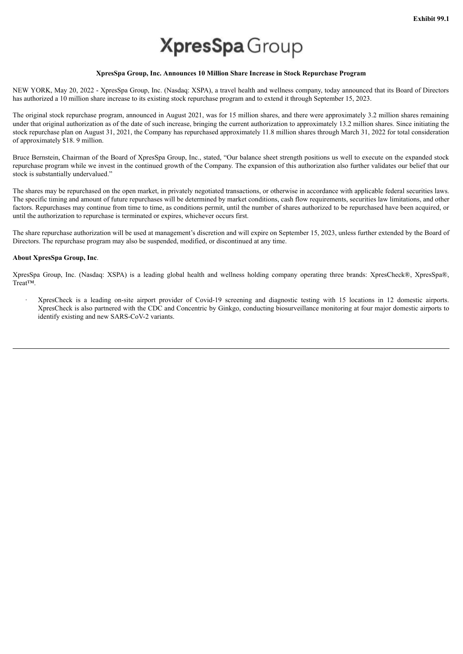# **XpresSpa** Group

## **XpresSpa Group, Inc. Announces 10 Million Share Increase in Stock Repurchase Program**

<span id="page-3-0"></span>NEW YORK, May 20, 2022 - XpresSpa Group, Inc. (Nasdaq: XSPA), a travel health and wellness company, today announced that its Board of Directors has authorized a 10 million share increase to its existing stock repurchase program and to extend it through September 15, 2023.

The original stock repurchase program, announced in August 2021, was for 15 million shares, and there were approximately 3.2 million shares remaining under that original authorization as of the date of such increase, bringing the current authorization to approximately 13.2 million shares. Since initiating the stock repurchase plan on August 31, 2021, the Company has repurchased approximately 11.8 million shares through March 31, 2022 for total consideration of approximately \$18. 9 million.

Bruce Bernstein, Chairman of the Board of XpresSpa Group, Inc., stated, "Our balance sheet strength positions us well to execute on the expanded stock repurchase program while we invest in the continued growth of the Company. The expansion of this authorization also further validates our belief that our stock is substantially undervalued."

The shares may be repurchased on the open market, in privately negotiated transactions, or otherwise in accordance with applicable federal securities laws. The specific timing and amount of future repurchases will be determined by market conditions, cash flow requirements, securities law limitations, and other factors. Repurchases may continue from time to time, as conditions permit, until the number of shares authorized to be repurchased have been acquired, or until the authorization to repurchase is terminated or expires, whichever occurs first.

The share repurchase authorization will be used at management's discretion and will expire on September 15, 2023, unless further extended by the Board of Directors. The repurchase program may also be suspended, modified, or discontinued at any time.

## **About XpresSpa Group, Inc**.

XpresSpa Group, Inc. (Nasdaq: XSPA) is a leading global health and wellness holding company operating three brands: XpresCheck®, XpresSpa®, Treat™.

· XpresCheck is a leading on-site airport provider of Covid-19 screening and diagnostic testing with 15 locations in 12 domestic airports. XpresCheck is also partnered with the CDC and Concentric by Ginkgo, conducting biosurveillance monitoring at four major domestic airports to identify existing and new SARS-CoV-2 variants.